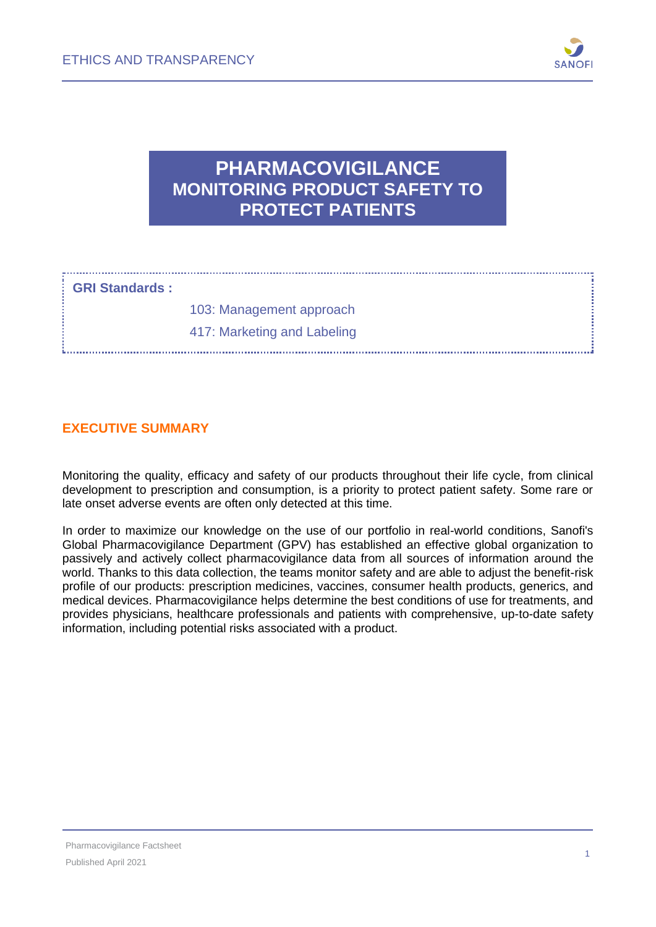

## **PHARMACOVIGILANCE MONITORING PRODUCT SAFETY TO PROTECT PATIENTS**

#### **GRI Standards :**

103: Management approach 417: Marketing and Labeling

#### **EXECUTIVE SUMMARY**

Monitoring the quality, efficacy and safety of our products throughout their life cycle, from clinical development to prescription and consumption, is a priority to protect patient safety. Some rare or late onset adverse events are often only detected at this time.

In order to maximize our knowledge on the use of our portfolio in real-world conditions, Sanofi's Global Pharmacovigilance Department (GPV) has established an effective global organization to passively and actively collect pharmacovigilance data from all sources of information around the world. Thanks to this data collection, the teams monitor safety and are able to adjust the benefit-risk profile of our products: prescription medicines, vaccines, consumer health products, generics, and medical devices. Pharmacovigilance helps determine the best conditions of use for treatments, and provides physicians, healthcare professionals and patients with comprehensive, up-to-date safety information, including potential risks associated with a product.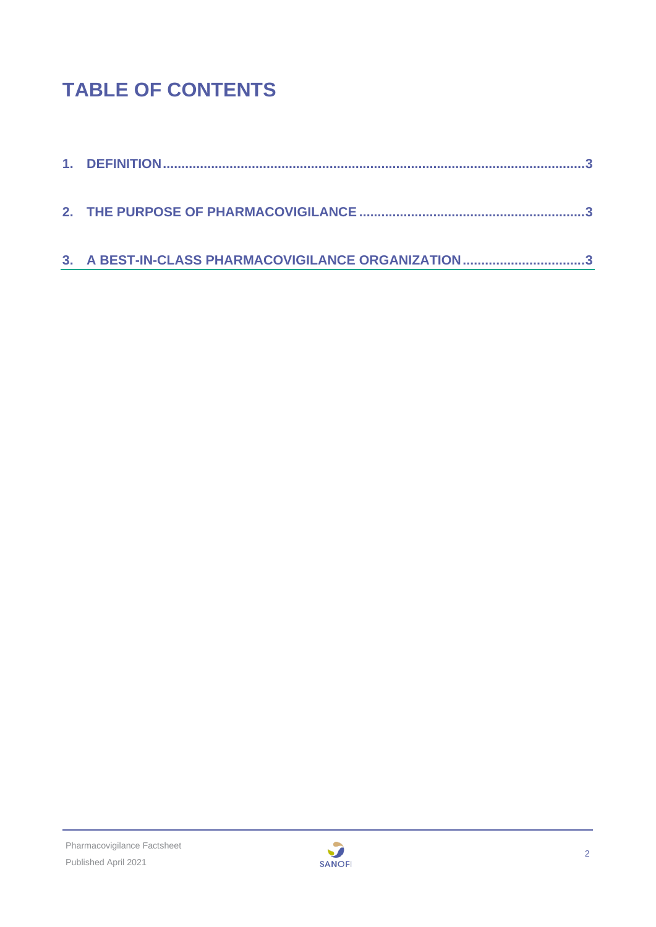# **TABLE OF CONTENTS**

| 3. A BEST-IN-CLASS PHARMACOVIGILANCE ORGANIZATION3 |
|----------------------------------------------------|

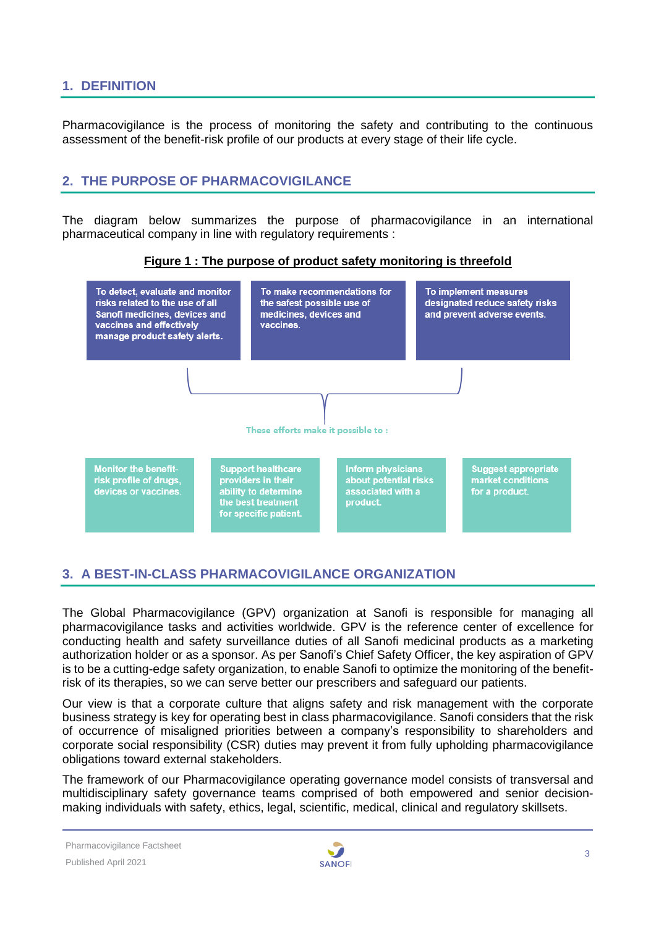#### <span id="page-2-0"></span>**1. DEFINITION**

Pharmacovigilance is the process of monitoring the safety and contributing to the continuous assessment of the benefit-risk profile of our products at every stage of their life cycle.

#### <span id="page-2-1"></span>**2. THE PURPOSE OF PHARMACOVIGILANCE**

The diagram below summarizes the purpose of pharmacovigilance in an international pharmaceutical company in line with regulatory requirements :





#### <span id="page-2-2"></span>**3. A BEST-IN-CLASS PHARMACOVIGILANCE ORGANIZATION**

The Global Pharmacovigilance (GPV) organization at Sanofi is responsible for managing all pharmacovigilance tasks and activities worldwide. GPV is the reference center of excellence for conducting health and safety surveillance duties of all Sanofi medicinal products as a marketing authorization holder or as a sponsor. As per Sanofi's Chief Safety Officer, the key aspiration of GPV is to be a cutting-edge safety organization, to enable Sanofi to optimize the monitoring of the benefitrisk of its therapies, so we can serve better our prescribers and safeguard our patients.

Our view is that a corporate culture that aligns safety and risk management with the corporate business strategy is key for operating best in class pharmacovigilance. Sanofi considers that the risk of occurrence of misaligned priorities between a company's responsibility to shareholders and corporate social responsibility (CSR) duties may prevent it from fully upholding pharmacovigilance obligations toward external stakeholders.

The framework of our Pharmacovigilance operating governance model consists of transversal and multidisciplinary safety governance teams comprised of both empowered and senior decisionmaking individuals with safety, ethics, legal, scientific, medical, clinical and regulatory skillsets.

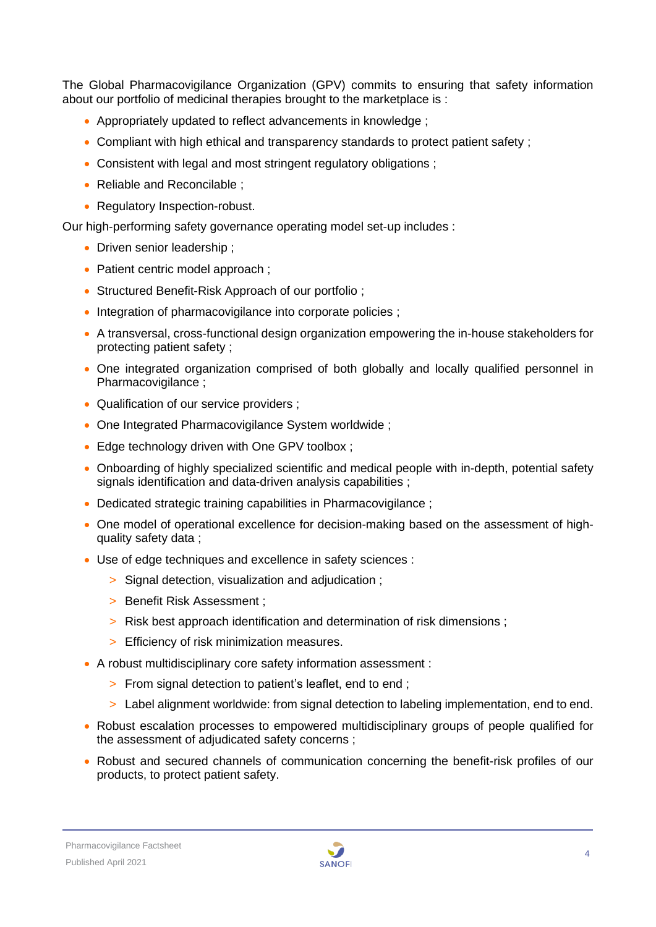The Global Pharmacovigilance Organization (GPV) commits to ensuring that safety information about our portfolio of medicinal therapies brought to the marketplace is :

- Appropriately updated to reflect advancements in knowledge ;
- Compliant with high ethical and transparency standards to protect patient safety ;
- Consistent with legal and most stringent regulatory obligations ;
- Reliable and Reconcilable ;
- Regulatory Inspection-robust.

Our high-performing safety governance operating model set-up includes :

- Driven senior leadership :
- Patient centric model approach :
- Structured Benefit-Risk Approach of our portfolio ;
- Integration of pharmacovigilance into corporate policies ;
- A transversal, cross-functional design organization empowering the in-house stakeholders for protecting patient safety ;
- One integrated organization comprised of both globally and locally qualified personnel in Pharmacovigilance :
- Qualification of our service providers :
- One Integrated Pharmacovigilance System worldwide ;
- Edge technology driven with One GPV toolbox ;
- Onboarding of highly specialized scientific and medical people with in-depth, potential safety signals identification and data-driven analysis capabilities ;
- Dedicated strategic training capabilities in Pharmacovigilance ;
- One model of operational excellence for decision-making based on the assessment of highquality safety data ;
- Use of edge techniques and excellence in safety sciences :
	- > Signal detection, visualization and adjudication ;
	- > Benefit Risk Assessment ;
	- > Risk best approach identification and determination of risk dimensions ;
	- > Efficiency of risk minimization measures.
- A robust multidisciplinary core safety information assessment :
	- > From signal detection to patient's leaflet, end to end ;
	- > Label alignment worldwide: from signal detection to labeling implementation, end to end.
- Robust escalation processes to empowered multidisciplinary groups of people qualified for the assessment of adjudicated safety concerns ;
- Robust and secured channels of communication concerning the benefit-risk profiles of our products, to protect patient safety.